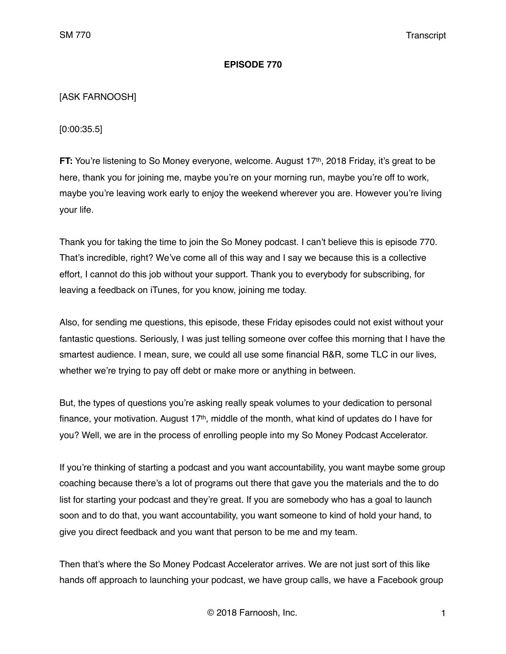## **EPISODE 770**

# [ASK FARNOOSH]

[0:00:35.5]

**FT:** You're listening to So Money everyone, welcome. August 17<sup>th</sup>, 2018 Friday, it's great to be here, thank you for joining me, maybe you're on your morning run, maybe you're off to work, maybe you're leaving work early to enjoy the weekend wherever you are. However you're living your life.

Thank you for taking the time to join the So Money podcast. I can't believe this is episode 770. That's incredible, right? We've come all of this way and I say we because this is a collective effort, I cannot do this job without your support. Thank you to everybody for subscribing, for leaving a feedback on iTunes, for you know, joining me today.

Also, for sending me questions, this episode, these Friday episodes could not exist without your fantastic questions. Seriously, I was just telling someone over coffee this morning that I have the smartest audience. I mean, sure, we could all use some financial R&R, some TLC in our lives, whether we're trying to pay off debt or make more or anything in between.

But, the types of questions you're asking really speak volumes to your dedication to personal finance, your motivation. August 17<sup>th</sup>, middle of the month, what kind of updates do I have for you? Well, we are in the process of enrolling people into my So Money Podcast Accelerator.

If you're thinking of starting a podcast and you want accountability, you want maybe some group coaching because there's a lot of programs out there that gave you the materials and the to do list for starting your podcast and they're great. If you are somebody who has a goal to launch soon and to do that, you want accountability, you want someone to kind of hold your hand, to give you direct feedback and you want that person to be me and my team.

Then that's where the So Money Podcast Accelerator arrives. We are not just sort of this like hands off approach to launching your podcast, we have group calls, we have a Facebook group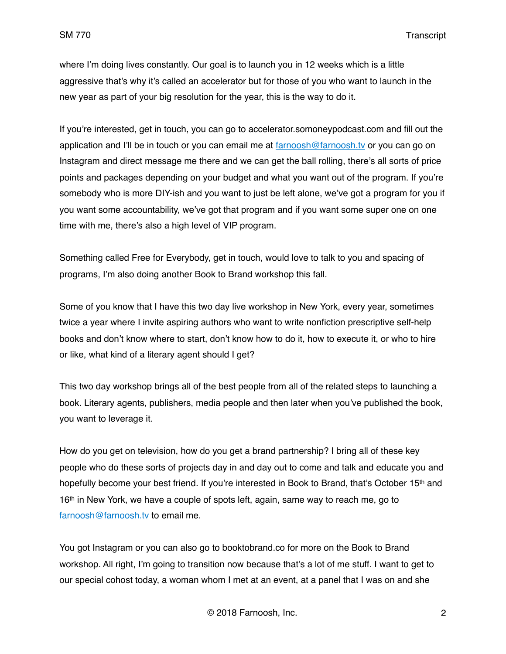where I'm doing lives constantly. Our goal is to launch you in 12 weeks which is a little aggressive that's why it's called an accelerator but for those of you who want to launch in the new year as part of your big resolution for the year, this is the way to do it.

If you're interested, get in touch, you can go to accelerator.somoneypodcast.com and fill out the application and I'll be in touch or you can email me at  $farnoosh@farnoosh.tv$  or you can go on Instagram and direct message me there and we can get the ball rolling, there's all sorts of price points and packages depending on your budget and what you want out of the program. If you're somebody who is more DIY-ish and you want to just be left alone, we've got a program for you if you want some accountability, we've got that program and if you want some super one on one time with me, there's also a high level of VIP program.

Something called Free for Everybody, get in touch, would love to talk to you and spacing of programs, I'm also doing another Book to Brand workshop this fall.

Some of you know that I have this two day live workshop in New York, every year, sometimes twice a year where I invite aspiring authors who want to write nonfiction prescriptive self-help books and don't know where to start, don't know how to do it, how to execute it, or who to hire or like, what kind of a literary agent should I get?

This two day workshop brings all of the best people from all of the related steps to launching a book. Literary agents, publishers, media people and then later when you've published the book, you want to leverage it.

How do you get on television, how do you get a brand partnership? I bring all of these key people who do these sorts of projects day in and day out to come and talk and educate you and hopefully become your best friend. If you're interested in Book to Brand, that's October 15<sup>th</sup> and 16<sup>th</sup> in New York, we have a couple of spots left, again, same way to reach me, go to [farnoosh@farnoosh.tv](mailto:farnoosh@farnoosh.tv) to email me.

You got Instagram or you can also go to booktobrand.co for more on the Book to Brand workshop. All right, I'm going to transition now because that's a lot of me stuff. I want to get to our special cohost today, a woman whom I met at an event, at a panel that I was on and she

© 2018 Farnoosh, Inc. 2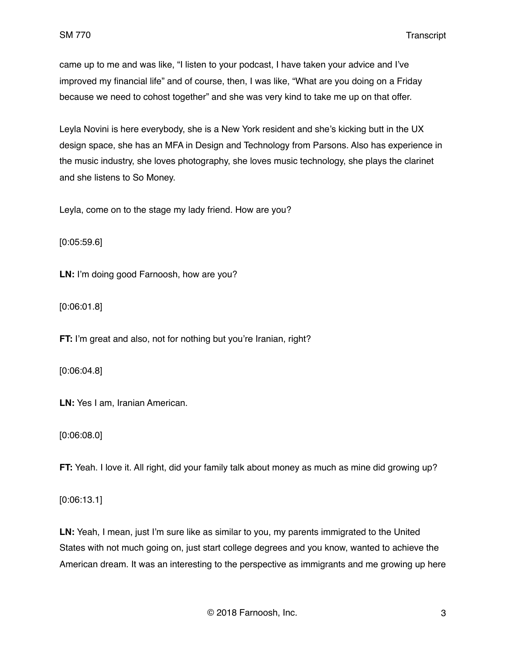came up to me and was like, "I listen to your podcast, I have taken your advice and I've improved my financial life" and of course, then, I was like, "What are you doing on a Friday because we need to cohost together" and she was very kind to take me up on that offer.

Leyla Novini is here everybody, she is a New York resident and she's kicking butt in the UX design space, she has an MFA in Design and Technology from Parsons. Also has experience in the music industry, she loves photography, she loves music technology, she plays the clarinet and she listens to So Money.

Leyla, come on to the stage my lady friend. How are you?

[0:05:59.6]

**LN:** I'm doing good Farnoosh, how are you?

[0:06:01.8]

**FT:** I'm great and also, not for nothing but you're Iranian, right?

[0:06:04.8]

**LN:** Yes I am, Iranian American.

[0:06:08.0]

**FT:** Yeah. I love it. All right, did your family talk about money as much as mine did growing up?

[0:06:13.1]

**LN:** Yeah, I mean, just I'm sure like as similar to you, my parents immigrated to the United States with not much going on, just start college degrees and you know, wanted to achieve the American dream. It was an interesting to the perspective as immigrants and me growing up here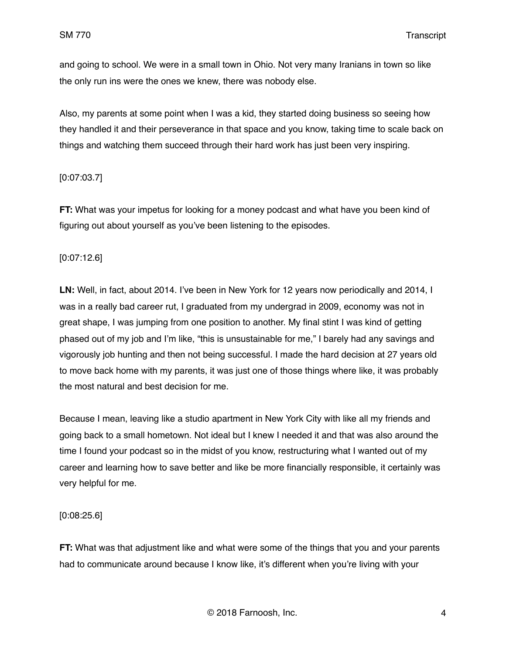and going to school. We were in a small town in Ohio. Not very many Iranians in town so like the only run ins were the ones we knew, there was nobody else.

Also, my parents at some point when I was a kid, they started doing business so seeing how they handled it and their perseverance in that space and you know, taking time to scale back on things and watching them succeed through their hard work has just been very inspiring.

## [0:07:03.7]

**FT:** What was your impetus for looking for a money podcast and what have you been kind of figuring out about yourself as you've been listening to the episodes.

### [0:07:12.6]

**LN:** Well, in fact, about 2014. I've been in New York for 12 years now periodically and 2014, I was in a really bad career rut, I graduated from my undergrad in 2009, economy was not in great shape, I was jumping from one position to another. My final stint I was kind of getting phased out of my job and I'm like, "this is unsustainable for me," I barely had any savings and vigorously job hunting and then not being successful. I made the hard decision at 27 years old to move back home with my parents, it was just one of those things where like, it was probably the most natural and best decision for me.

Because I mean, leaving like a studio apartment in New York City with like all my friends and going back to a small hometown. Not ideal but I knew I needed it and that was also around the time I found your podcast so in the midst of you know, restructuring what I wanted out of my career and learning how to save better and like be more financially responsible, it certainly was very helpful for me.

### [0:08:25.6]

**FT:** What was that adjustment like and what were some of the things that you and your parents had to communicate around because I know like, it's different when you're living with your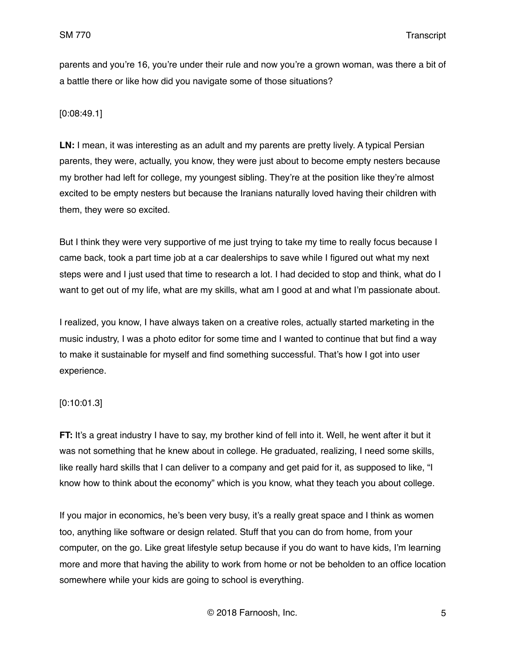parents and you're 16, you're under their rule and now you're a grown woman, was there a bit of a battle there or like how did you navigate some of those situations?

## [0:08:49.1]

**LN:** I mean, it was interesting as an adult and my parents are pretty lively. A typical Persian parents, they were, actually, you know, they were just about to become empty nesters because my brother had left for college, my youngest sibling. They're at the position like they're almost excited to be empty nesters but because the Iranians naturally loved having their children with them, they were so excited.

But I think they were very supportive of me just trying to take my time to really focus because I came back, took a part time job at a car dealerships to save while I figured out what my next steps were and I just used that time to research a lot. I had decided to stop and think, what do I want to get out of my life, what are my skills, what am I good at and what I'm passionate about.

I realized, you know, I have always taken on a creative roles, actually started marketing in the music industry, I was a photo editor for some time and I wanted to continue that but find a way to make it sustainable for myself and find something successful. That's how I got into user experience.

### [0:10:01.3]

**FT:** It's a great industry I have to say, my brother kind of fell into it. Well, he went after it but it was not something that he knew about in college. He graduated, realizing, I need some skills, like really hard skills that I can deliver to a company and get paid for it, as supposed to like, "I know how to think about the economy" which is you know, what they teach you about college.

If you major in economics, he's been very busy, it's a really great space and I think as women too, anything like software or design related. Stuff that you can do from home, from your computer, on the go. Like great lifestyle setup because if you do want to have kids, I'm learning more and more that having the ability to work from home or not be beholden to an office location somewhere while your kids are going to school is everything.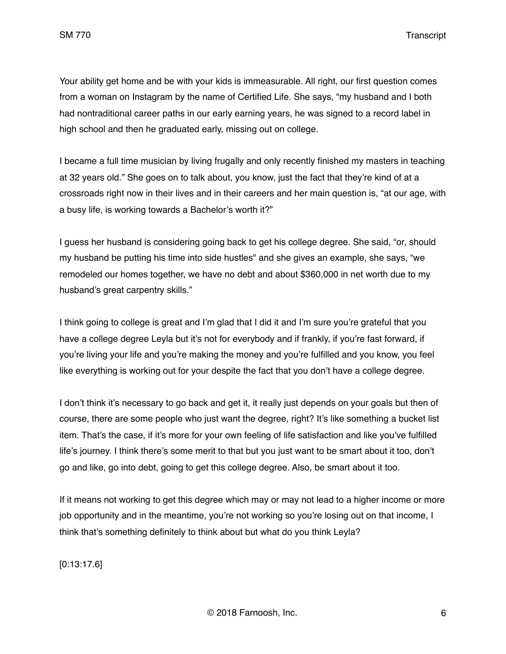Your ability get home and be with your kids is immeasurable. All right, our first question comes from a woman on Instagram by the name of Certified Life. She says, "my husband and I both had nontraditional career paths in our early earning years, he was signed to a record label in high school and then he graduated early, missing out on college.

I became a full time musician by living frugally and only recently finished my masters in teaching at 32 years old." She goes on to talk about, you know, just the fact that they're kind of at a crossroads right now in their lives and in their careers and her main question is, "at our age, with a busy life, is working towards a Bachelor's worth it?"

I guess her husband is considering going back to get his college degree. She said, "or, should my husband be putting his time into side hustles" and she gives an example, she says, "we remodeled our homes together, we have no debt and about \$360,000 in net worth due to my husband's great carpentry skills."

I think going to college is great and I'm glad that I did it and I'm sure you're grateful that you have a college degree Leyla but it's not for everybody and if frankly, if you're fast forward, if you're living your life and you're making the money and you're fulfilled and you know, you feel like everything is working out for your despite the fact that you don't have a college degree.

I don't think it's necessary to go back and get it, it really just depends on your goals but then of course, there are some people who just want the degree, right? It's like something a bucket list item. That's the case, if it's more for your own feeling of life satisfaction and like you've fulfilled life's journey. I think there's some merit to that but you just want to be smart about it too, don't go and like, go into debt, going to get this college degree. Also, be smart about it too.

If it means not working to get this degree which may or may not lead to a higher income or more job opportunity and in the meantime, you're not working so you're losing out on that income, I think that's something definitely to think about but what do you think Leyla?

[0:13:17.6]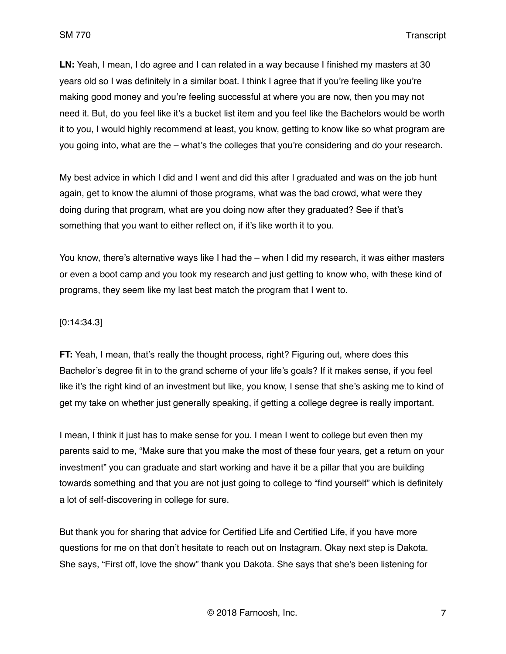**LN:** Yeah, I mean, I do agree and I can related in a way because I finished my masters at 30 years old so I was definitely in a similar boat. I think I agree that if you're feeling like you're making good money and you're feeling successful at where you are now, then you may not need it. But, do you feel like it's a bucket list item and you feel like the Bachelors would be worth it to you, I would highly recommend at least, you know, getting to know like so what program are you going into, what are the – what's the colleges that you're considering and do your research.

My best advice in which I did and I went and did this after I graduated and was on the job hunt again, get to know the alumni of those programs, what was the bad crowd, what were they doing during that program, what are you doing now after they graduated? See if that's something that you want to either reflect on, if it's like worth it to you.

You know, there's alternative ways like I had the – when I did my research, it was either masters or even a boot camp and you took my research and just getting to know who, with these kind of programs, they seem like my last best match the program that I went to.

#### [0:14:34.3]

**FT:** Yeah, I mean, that's really the thought process, right? Figuring out, where does this Bachelor's degree fit in to the grand scheme of your life's goals? If it makes sense, if you feel like it's the right kind of an investment but like, you know, I sense that she's asking me to kind of get my take on whether just generally speaking, if getting a college degree is really important.

I mean, I think it just has to make sense for you. I mean I went to college but even then my parents said to me, "Make sure that you make the most of these four years, get a return on your investment" you can graduate and start working and have it be a pillar that you are building towards something and that you are not just going to college to "find yourself" which is definitely a lot of self-discovering in college for sure.

But thank you for sharing that advice for Certified Life and Certified Life, if you have more questions for me on that don't hesitate to reach out on Instagram. Okay next step is Dakota. She says, "First off, love the show" thank you Dakota. She says that she's been listening for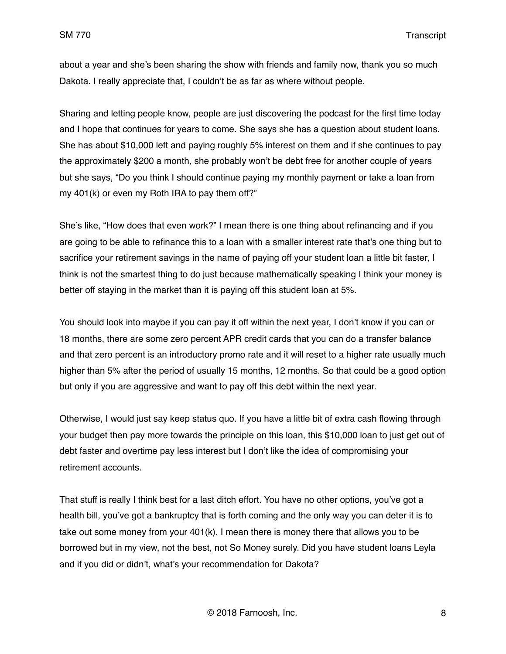about a year and she's been sharing the show with friends and family now, thank you so much Dakota. I really appreciate that, I couldn't be as far as where without people.

Sharing and letting people know, people are just discovering the podcast for the first time today and I hope that continues for years to come. She says she has a question about student loans. She has about \$10,000 left and paying roughly 5% interest on them and if she continues to pay the approximately \$200 a month, she probably won't be debt free for another couple of years but she says, "Do you think I should continue paying my monthly payment or take a loan from my 401(k) or even my Roth IRA to pay them off?"

She's like, "How does that even work?" I mean there is one thing about refinancing and if you are going to be able to refinance this to a loan with a smaller interest rate that's one thing but to sacrifice your retirement savings in the name of paying off your student loan a little bit faster, I think is not the smartest thing to do just because mathematically speaking I think your money is better off staying in the market than it is paying off this student loan at 5%.

You should look into maybe if you can pay it off within the next year, I don't know if you can or 18 months, there are some zero percent APR credit cards that you can do a transfer balance and that zero percent is an introductory promo rate and it will reset to a higher rate usually much higher than 5% after the period of usually 15 months, 12 months. So that could be a good option but only if you are aggressive and want to pay off this debt within the next year.

Otherwise, I would just say keep status quo. If you have a little bit of extra cash flowing through your budget then pay more towards the principle on this loan, this \$10,000 loan to just get out of debt faster and overtime pay less interest but I don't like the idea of compromising your retirement accounts.

That stuff is really I think best for a last ditch effort. You have no other options, you've got a health bill, you've got a bankruptcy that is forth coming and the only way you can deter it is to take out some money from your 401(k). I mean there is money there that allows you to be borrowed but in my view, not the best, not So Money surely. Did you have student loans Leyla and if you did or didn't, what's your recommendation for Dakota?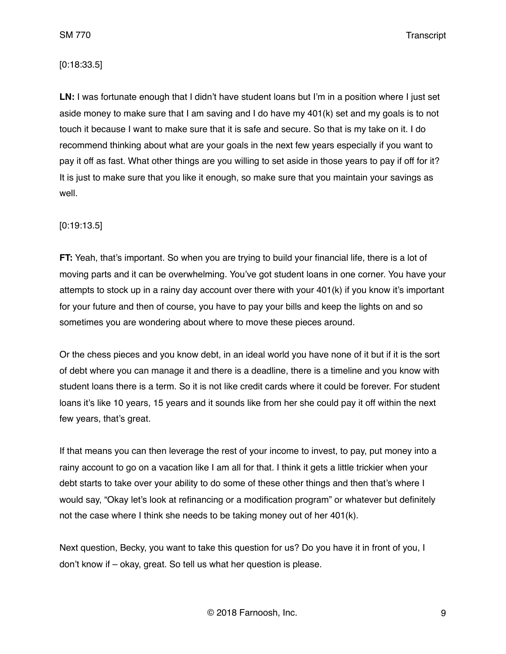### [0:18:33.5]

**LN:** I was fortunate enough that I didn't have student loans but I'm in a position where I just set aside money to make sure that I am saving and I do have my 401(k) set and my goals is to not touch it because I want to make sure that it is safe and secure. So that is my take on it. I do recommend thinking about what are your goals in the next few years especially if you want to pay it off as fast. What other things are you willing to set aside in those years to pay if off for it? It is just to make sure that you like it enough, so make sure that you maintain your savings as well.

### [0:19:13.5]

**FT:** Yeah, that's important. So when you are trying to build your financial life, there is a lot of moving parts and it can be overwhelming. You've got student loans in one corner. You have your attempts to stock up in a rainy day account over there with your 401(k) if you know it's important for your future and then of course, you have to pay your bills and keep the lights on and so sometimes you are wondering about where to move these pieces around.

Or the chess pieces and you know debt, in an ideal world you have none of it but if it is the sort of debt where you can manage it and there is a deadline, there is a timeline and you know with student loans there is a term. So it is not like credit cards where it could be forever. For student loans it's like 10 years, 15 years and it sounds like from her she could pay it off within the next few years, that's great.

If that means you can then leverage the rest of your income to invest, to pay, put money into a rainy account to go on a vacation like I am all for that. I think it gets a little trickier when your debt starts to take over your ability to do some of these other things and then that's where I would say, "Okay let's look at refinancing or a modification program" or whatever but definitely not the case where I think she needs to be taking money out of her 401(k).

Next question, Becky, you want to take this question for us? Do you have it in front of you, I don't know if – okay, great. So tell us what her question is please.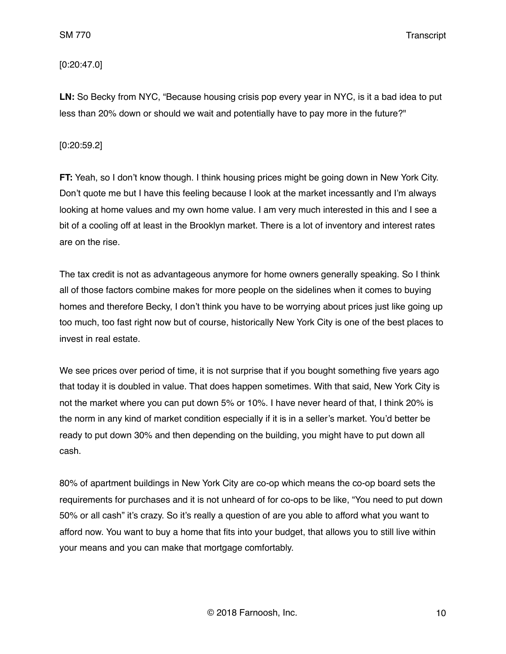## [0:20:47.0]

**LN:** So Becky from NYC, "Because housing crisis pop every year in NYC, is it a bad idea to put less than 20% down or should we wait and potentially have to pay more in the future?"

## [0:20:59.2]

**FT:** Yeah, so I don't know though. I think housing prices might be going down in New York City. Don't quote me but I have this feeling because I look at the market incessantly and I'm always looking at home values and my own home value. I am very much interested in this and I see a bit of a cooling off at least in the Brooklyn market. There is a lot of inventory and interest rates are on the rise.

The tax credit is not as advantageous anymore for home owners generally speaking. So I think all of those factors combine makes for more people on the sidelines when it comes to buying homes and therefore Becky, I don't think you have to be worrying about prices just like going up too much, too fast right now but of course, historically New York City is one of the best places to invest in real estate.

We see prices over period of time, it is not surprise that if you bought something five years ago that today it is doubled in value. That does happen sometimes. With that said, New York City is not the market where you can put down 5% or 10%. I have never heard of that, I think 20% is the norm in any kind of market condition especially if it is in a seller's market. You'd better be ready to put down 30% and then depending on the building, you might have to put down all cash.

80% of apartment buildings in New York City are co-op which means the co-op board sets the requirements for purchases and it is not unheard of for co-ops to be like, "You need to put down 50% or all cash" it's crazy. So it's really a question of are you able to afford what you want to afford now. You want to buy a home that fits into your budget, that allows you to still live within your means and you can make that mortgage comfortably.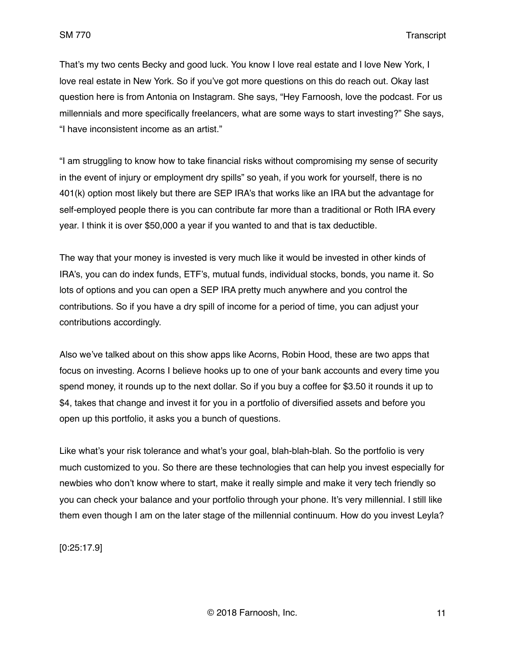That's my two cents Becky and good luck. You know I love real estate and I love New York, I love real estate in New York. So if you've got more questions on this do reach out. Okay last question here is from Antonia on Instagram. She says, "Hey Farnoosh, love the podcast. For us millennials and more specifically freelancers, what are some ways to start investing?" She says, "I have inconsistent income as an artist."

"I am struggling to know how to take financial risks without compromising my sense of security in the event of injury or employment dry spills" so yeah, if you work for yourself, there is no 401(k) option most likely but there are SEP IRA's that works like an IRA but the advantage for self-employed people there is you can contribute far more than a traditional or Roth IRA every year. I think it is over \$50,000 a year if you wanted to and that is tax deductible.

The way that your money is invested is very much like it would be invested in other kinds of IRA's, you can do index funds, ETF's, mutual funds, individual stocks, bonds, you name it. So lots of options and you can open a SEP IRA pretty much anywhere and you control the contributions. So if you have a dry spill of income for a period of time, you can adjust your contributions accordingly.

Also we've talked about on this show apps like Acorns, Robin Hood, these are two apps that focus on investing. Acorns I believe hooks up to one of your bank accounts and every time you spend money, it rounds up to the next dollar. So if you buy a coffee for \$3.50 it rounds it up to \$4, takes that change and invest it for you in a portfolio of diversified assets and before you open up this portfolio, it asks you a bunch of questions.

Like what's your risk tolerance and what's your goal, blah-blah-blah. So the portfolio is very much customized to you. So there are these technologies that can help you invest especially for newbies who don't know where to start, make it really simple and make it very tech friendly so you can check your balance and your portfolio through your phone. It's very millennial. I still like them even though I am on the later stage of the millennial continuum. How do you invest Leyla?

[0:25:17.9]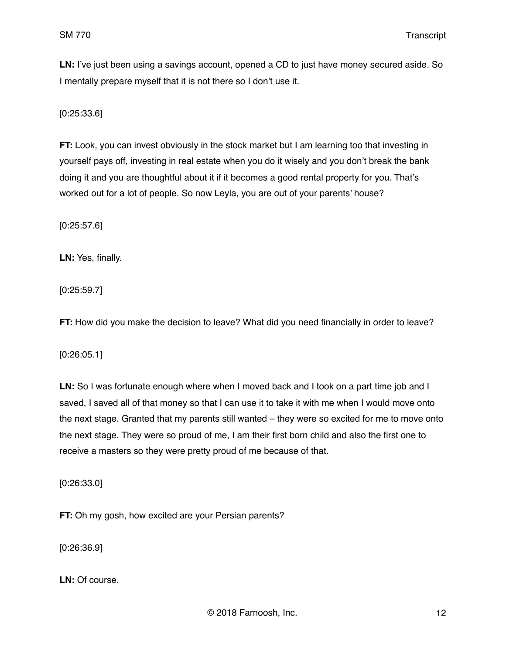**LN:** I've just been using a savings account, opened a CD to just have money secured aside. So I mentally prepare myself that it is not there so I don't use it.

[0:25:33.6]

**FT:** Look, you can invest obviously in the stock market but I am learning too that investing in yourself pays off, investing in real estate when you do it wisely and you don't break the bank doing it and you are thoughtful about it if it becomes a good rental property for you. That's worked out for a lot of people. So now Leyla, you are out of your parents' house?

[0:25:57.6]

**LN:** Yes, finally.

[0:25:59.7]

**FT:** How did you make the decision to leave? What did you need financially in order to leave?

[0:26:05.1]

**LN:** So I was fortunate enough where when I moved back and I took on a part time job and I saved, I saved all of that money so that I can use it to take it with me when I would move onto the next stage. Granted that my parents still wanted – they were so excited for me to move onto the next stage. They were so proud of me, I am their first born child and also the first one to receive a masters so they were pretty proud of me because of that.

[0:26:33.0]

**FT:** Oh my gosh, how excited are your Persian parents?

[0:26:36.9]

**LN:** Of course.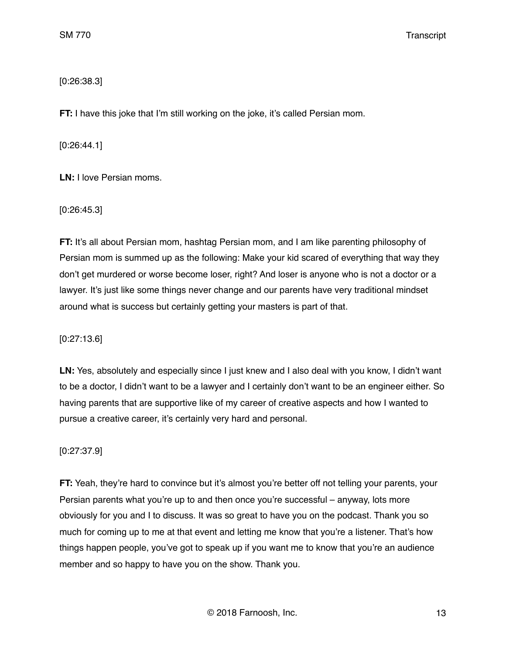# [0:26:38.3]

**FT:** I have this joke that I'm still working on the joke, it's called Persian mom.

[0:26:44.1]

**LN:** I love Persian moms.

[0:26:45.3]

**FT:** It's all about Persian mom, hashtag Persian mom, and I am like parenting philosophy of Persian mom is summed up as the following: Make your kid scared of everything that way they don't get murdered or worse become loser, right? And loser is anyone who is not a doctor or a lawyer. It's just like some things never change and our parents have very traditional mindset around what is success but certainly getting your masters is part of that.

[0:27:13.6]

LN: Yes, absolutely and especially since I just knew and I also deal with you know, I didn't want to be a doctor, I didn't want to be a lawyer and I certainly don't want to be an engineer either. So having parents that are supportive like of my career of creative aspects and how I wanted to pursue a creative career, it's certainly very hard and personal.

## [0:27:37.9]

**FT:** Yeah, they're hard to convince but it's almost you're better off not telling your parents, your Persian parents what you're up to and then once you're successful – anyway, lots more obviously for you and I to discuss. It was so great to have you on the podcast. Thank you so much for coming up to me at that event and letting me know that you're a listener. That's how things happen people, you've got to speak up if you want me to know that you're an audience member and so happy to have you on the show. Thank you.